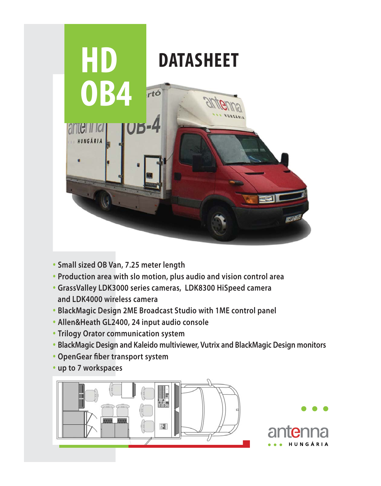

- **Small sized OB Van, 7.25 meter length**
- **Production area with slo motion, plus audio and vision control area**
- **GrassValley LDK3000 series cameras, LDK8300 HiSpeed camera and LDK4000 wireless camera**
- **BlackMagic Design 2ME Broadcast Studio with 1ME control panel**
- **Allen&Heath GL2400, 24 input audio console**
- **Trilogy Orator communication system**
- **BlackMagic Design and Kaleido multiviewer, Vutrix and BlackMagic Design monitors**
- **OpenGear fiber transport system**
- **up to 7 workspaces**